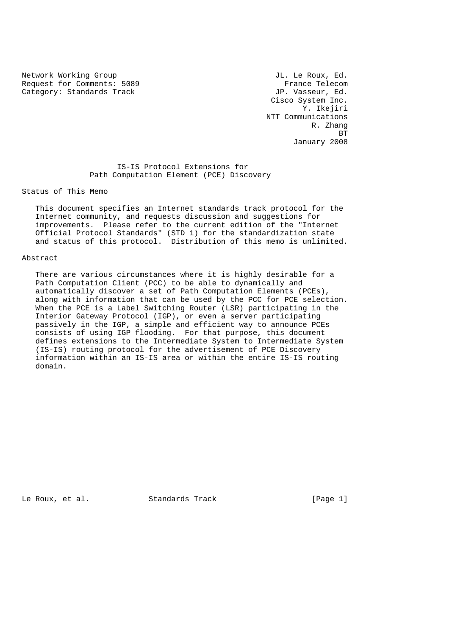Network Working Group and the set of the U.S. of the U.S. of the U.S. of the U.S. of the U.S. of the U.S. of the U.S. of the U.S. of the U.S. of the U.S. of the U.S. of the U.S. of the U.S. of the U.S. of the U.S. of the U Request for Comments: 5089 France Telecom<br>
Category: Standards Track Gategory: Standards Track Category: Standards Track

 Cisco System Inc. Y. Ikejiri NTT Communications R. Zhang **BT** STATE STATE STATE STATE STATE STATE STATE STATE STATE STATE STATE STATE STATE STATE STATE STATE STATE STATE STATE STATE STATE STATE STATE STATE STATE STATE STATE STATE STATE STATE STATE STATE STATE STATE STATE STATE S January 2008

> IS-IS Protocol Extensions for Path Computation Element (PCE) Discovery

Status of This Memo

 This document specifies an Internet standards track protocol for the Internet community, and requests discussion and suggestions for improvements. Please refer to the current edition of the "Internet Official Protocol Standards" (STD 1) for the standardization state and status of this protocol. Distribution of this memo is unlimited.

#### Abstract

 There are various circumstances where it is highly desirable for a Path Computation Client (PCC) to be able to dynamically and automatically discover a set of Path Computation Elements (PCEs), along with information that can be used by the PCC for PCE selection. When the PCE is a Label Switching Router (LSR) participating in the Interior Gateway Protocol (IGP), or even a server participating passively in the IGP, a simple and efficient way to announce PCEs consists of using IGP flooding. For that purpose, this document defines extensions to the Intermediate System to Intermediate System (IS-IS) routing protocol for the advertisement of PCE Discovery information within an IS-IS area or within the entire IS-IS routing domain.

Le Roux, et al. Standards Track [Page 1]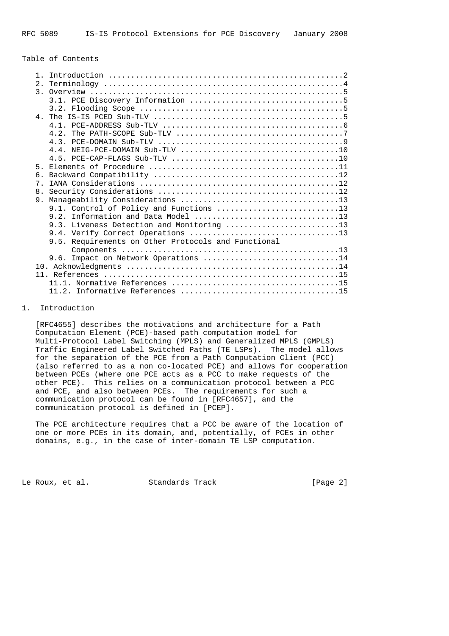## Table of Contents

|  | 2.    |                                                     |  |  |
|--|-------|-----------------------------------------------------|--|--|
|  |       |                                                     |  |  |
|  |       |                                                     |  |  |
|  |       |                                                     |  |  |
|  |       |                                                     |  |  |
|  |       |                                                     |  |  |
|  |       |                                                     |  |  |
|  |       |                                                     |  |  |
|  |       |                                                     |  |  |
|  |       |                                                     |  |  |
|  | $5 -$ |                                                     |  |  |
|  | б.    |                                                     |  |  |
|  | 7     |                                                     |  |  |
|  |       |                                                     |  |  |
|  | 9.    |                                                     |  |  |
|  |       | 9.1. Control of Policy and Functions 13             |  |  |
|  |       |                                                     |  |  |
|  |       | 9.3. Liveness Detection and Monitoring 13           |  |  |
|  |       |                                                     |  |  |
|  |       | 9.5. Requirements on Other Protocols and Functional |  |  |
|  |       |                                                     |  |  |
|  |       | 9.6. Impact on Network Operations 14                |  |  |
|  |       |                                                     |  |  |
|  |       |                                                     |  |  |
|  |       |                                                     |  |  |
|  |       |                                                     |  |  |

# 1. Introduction

 [RFC4655] describes the motivations and architecture for a Path Computation Element (PCE)-based path computation model for Multi-Protocol Label Switching (MPLS) and Generalized MPLS (GMPLS) Traffic Engineered Label Switched Paths (TE LSPs). The model allows for the separation of the PCE from a Path Computation Client (PCC) (also referred to as a non co-located PCE) and allows for cooperation between PCEs (where one PCE acts as a PCC to make requests of the other PCE). This relies on a communication protocol between a PCC and PCE, and also between PCEs. The requirements for such a communication protocol can be found in [RFC4657], and the communication protocol is defined in [PCEP].

 The PCE architecture requires that a PCC be aware of the location of one or more PCEs in its domain, and, potentially, of PCEs in other domains, e.g., in the case of inter-domain TE LSP computation.

Le Roux, et al. Standards Track [Page 2]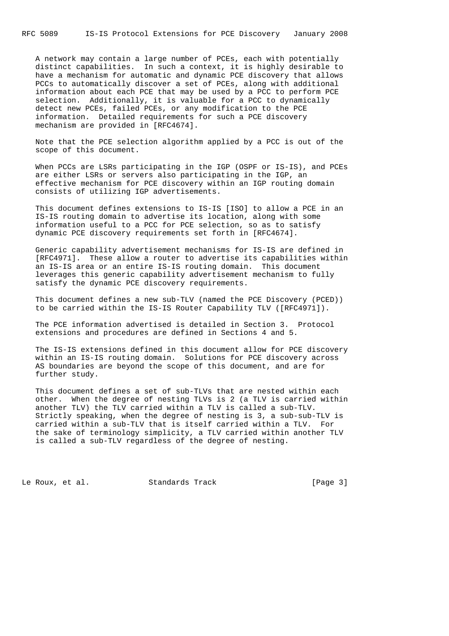A network may contain a large number of PCEs, each with potentially distinct capabilities. In such a context, it is highly desirable to have a mechanism for automatic and dynamic PCE discovery that allows PCCs to automatically discover a set of PCEs, along with additional information about each PCE that may be used by a PCC to perform PCE selection. Additionally, it is valuable for a PCC to dynamically detect new PCEs, failed PCEs, or any modification to the PCE information. Detailed requirements for such a PCE discovery mechanism are provided in [RFC4674].

 Note that the PCE selection algorithm applied by a PCC is out of the scope of this document.

 When PCCs are LSRs participating in the IGP (OSPF or IS-IS), and PCEs are either LSRs or servers also participating in the IGP, an effective mechanism for PCE discovery within an IGP routing domain consists of utilizing IGP advertisements.

 This document defines extensions to IS-IS [ISO] to allow a PCE in an IS-IS routing domain to advertise its location, along with some information useful to a PCC for PCE selection, so as to satisfy dynamic PCE discovery requirements set forth in [RFC4674].

 Generic capability advertisement mechanisms for IS-IS are defined in [RFC4971]. These allow a router to advertise its capabilities within an IS-IS area or an entire IS-IS routing domain. This document leverages this generic capability advertisement mechanism to fully satisfy the dynamic PCE discovery requirements.

 This document defines a new sub-TLV (named the PCE Discovery (PCED)) to be carried within the IS-IS Router Capability TLV ([RFC4971]).

 The PCE information advertised is detailed in Section 3. Protocol extensions and procedures are defined in Sections 4 and 5.

 The IS-IS extensions defined in this document allow for PCE discovery within an IS-IS routing domain. Solutions for PCE discovery across AS boundaries are beyond the scope of this document, and are for further study.

 This document defines a set of sub-TLVs that are nested within each other. When the degree of nesting TLVs is 2 (a TLV is carried within another TLV) the TLV carried within a TLV is called a sub-TLV. Strictly speaking, when the degree of nesting is 3, a sub-sub-TLV is carried within a sub-TLV that is itself carried within a TLV. For the sake of terminology simplicity, a TLV carried within another TLV is called a sub-TLV regardless of the degree of nesting.

Le Roux, et al. Standards Track [Page 3]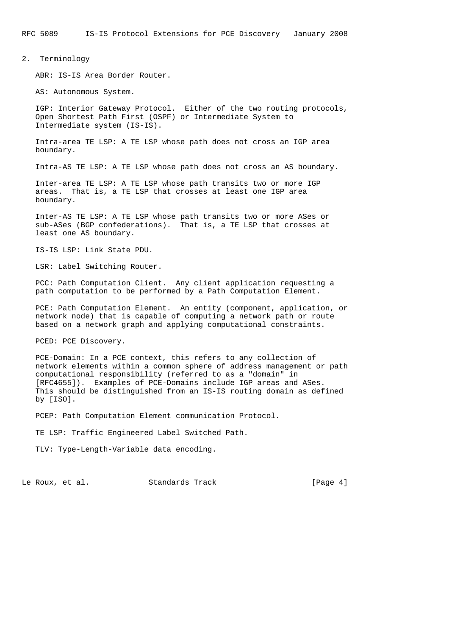RFC 5089 IS-IS Protocol Extensions for PCE Discovery January 2008

#### 2. Terminology

ABR: IS-IS Area Border Router.

AS: Autonomous System.

 IGP: Interior Gateway Protocol. Either of the two routing protocols, Open Shortest Path First (OSPF) or Intermediate System to Intermediate system (IS-IS).

 Intra-area TE LSP: A TE LSP whose path does not cross an IGP area boundary.

Intra-AS TE LSP: A TE LSP whose path does not cross an AS boundary.

 Inter-area TE LSP: A TE LSP whose path transits two or more IGP areas. That is, a TE LSP that crosses at least one IGP area boundary.

 Inter-AS TE LSP: A TE LSP whose path transits two or more ASes or sub-ASes (BGP confederations). That is, a TE LSP that crosses at least one AS boundary.

IS-IS LSP: Link State PDU.

LSR: Label Switching Router.

 PCC: Path Computation Client. Any client application requesting a path computation to be performed by a Path Computation Element.

 PCE: Path Computation Element. An entity (component, application, or network node) that is capable of computing a network path or route based on a network graph and applying computational constraints.

PCED: PCE Discovery.

 PCE-Domain: In a PCE context, this refers to any collection of network elements within a common sphere of address management or path computational responsibility (referred to as a "domain" in [RFC4655]). Examples of PCE-Domains include IGP areas and ASes. This should be distinguished from an IS-IS routing domain as defined by [ISO].

PCEP: Path Computation Element communication Protocol.

TE LSP: Traffic Engineered Label Switched Path.

TLV: Type-Length-Variable data encoding.

Le Roux, et al. Standards Track [Page 4]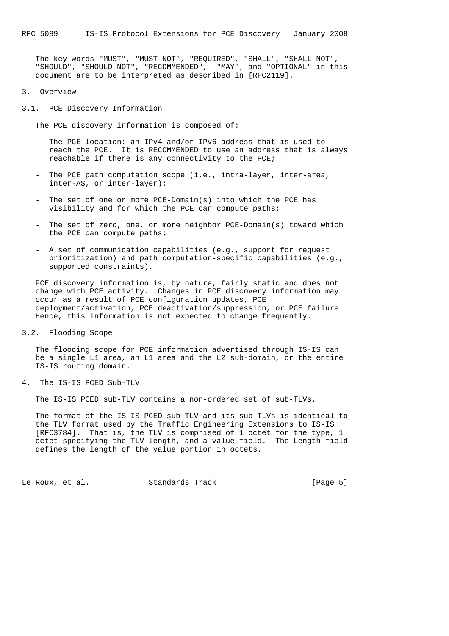The key words "MUST", "MUST NOT", "REQUIRED", "SHALL", "SHALL NOT", "SHOULD", "SHOULD NOT", "RECOMMENDED", "MAY", and "OPTIONAL" in this document are to be interpreted as described in [RFC2119].

- 3. Overview
- 3.1. PCE Discovery Information

The PCE discovery information is composed of:

- The PCE location: an IPv4 and/or IPv6 address that is used to reach the PCE. It is RECOMMENDED to use an address that is always reachable if there is any connectivity to the PCE;
- The PCE path computation scope (i.e., intra-layer, inter-area, inter-AS, or inter-layer);
- The set of one or more PCE-Domain(s) into which the PCE has visibility and for which the PCE can compute paths;
- The set of zero, one, or more neighbor PCE-Domain(s) toward which the PCE can compute paths;
- A set of communication capabilities (e.g., support for request prioritization) and path computation-specific capabilities (e.g., supported constraints).

 PCE discovery information is, by nature, fairly static and does not change with PCE activity. Changes in PCE discovery information may occur as a result of PCE configuration updates, PCE deployment/activation, PCE deactivation/suppression, or PCE failure. Hence, this information is not expected to change frequently.

3.2. Flooding Scope

 The flooding scope for PCE information advertised through IS-IS can be a single L1 area, an L1 area and the L2 sub-domain, or the entire IS-IS routing domain.

4. The IS-IS PCED Sub-TLV

The IS-IS PCED sub-TLV contains a non-ordered set of sub-TLVs.

 The format of the IS-IS PCED sub-TLV and its sub-TLVs is identical to the TLV format used by the Traffic Engineering Extensions to IS-IS [RFC3784]. That is, the TLV is comprised of 1 octet for the type, 1 octet specifying the TLV length, and a value field. The Length field defines the length of the value portion in octets.

Le Roux, et al. Standards Track [Page 5]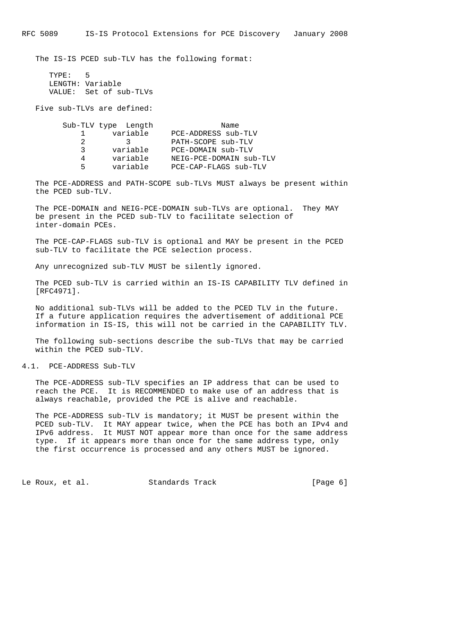The IS-IS PCED sub-TLV has the following format:

 TYPE: 5 LENGTH: Variable VALUE: Set of sub-TLVs

Five sub-TLVs are defined:

|    | Sub-TLV type Length | Name                    |
|----|---------------------|-------------------------|
|    | variable            | PCE-ADDRESS sub-TLV     |
|    | 2                   | PATH-SCOPE sub-TLV      |
| 3  | variable            | PCE-DOMAIN sub-TLV      |
|    | variable            | NEIG-PCE-DOMAIN sub-TLV |
| Б. | variable            | PCE-CAP-FLAGS sub-TLV   |

 The PCE-ADDRESS and PATH-SCOPE sub-TLVs MUST always be present within the PCED sub-TLV.

 The PCE-DOMAIN and NEIG-PCE-DOMAIN sub-TLVs are optional. They MAY be present in the PCED sub-TLV to facilitate selection of inter-domain PCEs.

 The PCE-CAP-FLAGS sub-TLV is optional and MAY be present in the PCED sub-TLV to facilitate the PCE selection process.

Any unrecognized sub-TLV MUST be silently ignored.

 The PCED sub-TLV is carried within an IS-IS CAPABILITY TLV defined in [RFC4971].

 No additional sub-TLVs will be added to the PCED TLV in the future. If a future application requires the advertisement of additional PCE information in IS-IS, this will not be carried in the CAPABILITY TLV.

 The following sub-sections describe the sub-TLVs that may be carried within the PCED sub-TLV.

4.1. PCE-ADDRESS Sub-TLV

 The PCE-ADDRESS sub-TLV specifies an IP address that can be used to reach the PCE. It is RECOMMENDED to make use of an address that is always reachable, provided the PCE is alive and reachable.

 The PCE-ADDRESS sub-TLV is mandatory; it MUST be present within the PCED sub-TLV. It MAY appear twice, when the PCE has both an IPv4 and IPv6 address. It MUST NOT appear more than once for the same address type. If it appears more than once for the same address type, only the first occurrence is processed and any others MUST be ignored.

Le Roux, et al. Standards Track [Page 6]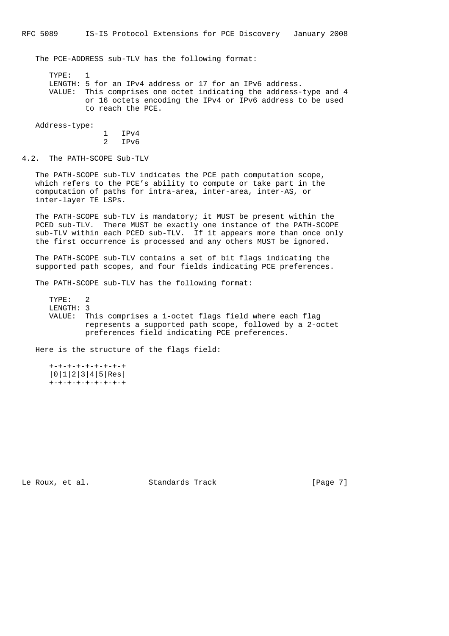The PCE-ADDRESS sub-TLV has the following format:

 TYPE: 1 LENGTH: 5 for an IPv4 address or 17 for an IPv6 address. VALUE: This comprises one octet indicating the address-type and 4 or 16 octets encoding the IPv4 or IPv6 address to be used to reach the PCE.

Address-type:

 1 IPv4 2 IPv6

4.2. The PATH-SCOPE Sub-TLV

 The PATH-SCOPE sub-TLV indicates the PCE path computation scope, which refers to the PCE's ability to compute or take part in the computation of paths for intra-area, inter-area, inter-AS, or inter-layer TE LSPs.

 The PATH-SCOPE sub-TLV is mandatory; it MUST be present within the PCED sub-TLV. There MUST be exactly one instance of the PATH-SCOPE sub-TLV within each PCED sub-TLV. If it appears more than once only the first occurrence is processed and any others MUST be ignored.

 The PATH-SCOPE sub-TLV contains a set of bit flags indicating the supported path scopes, and four fields indicating PCE preferences.

The PATH-SCOPE sub-TLV has the following format:

 TYPE: 2 LENGTH: 3 VALUE: This comprises a 1-octet flags field where each flag represents a supported path scope, followed by a 2-octet preferences field indicating PCE preferences.

Here is the structure of the flags field:

 +-+-+-+-+-+-+-+-+ |0|1|2|3|4|5|Res| +-+-+-+-+-+-+-+-+

Le Roux, et al. Standards Track [Page 7]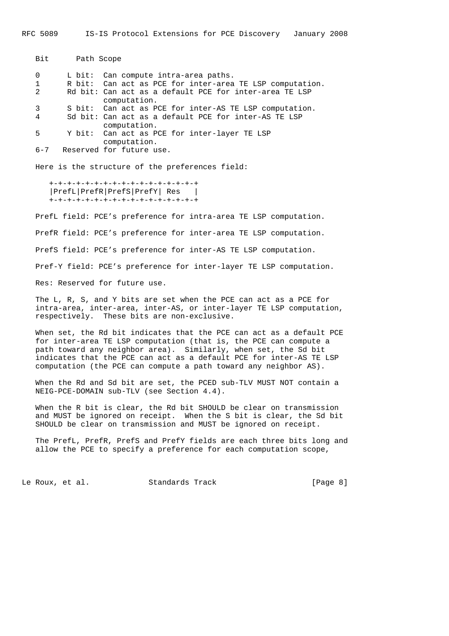Bit Path Scope 0 L bit: Can compute intra-area paths. 1 R bit: Can act as PCE for inter-area TE LSP computation. 2 Rd bit: Can act as a default PCE for inter-area TE LSP computation. 3 S bit: Can act as PCE for inter-AS TE LSP computation. 4 Sd bit: Can act as a default PCE for inter-AS TE LSP computation. 5 Y bit: Can act as PCE for inter-layer TE LSP computation. 6-7 Reserved for future use.

Here is the structure of the preferences field:

 +-+-+-+-+-+-+-+-+-+-+-+-+-+-+-+-+ |PrefL|PrefR|PrefS|PrefY| Res | +-+-+-+-+-+-+-+-+-+-+-+-+-+-+-+-+

 PrefL field: PCE's preference for intra-area TE LSP computation. PrefR field: PCE's preference for inter-area TE LSP computation. PrefS field: PCE's preference for inter-AS TE LSP computation. Pref-Y field: PCE's preference for inter-layer TE LSP computation. Res: Reserved for future use.

 The L, R, S, and Y bits are set when the PCE can act as a PCE for intra-area, inter-area, inter-AS, or inter-layer TE LSP computation, respectively. These bits are non-exclusive.

 When set, the Rd bit indicates that the PCE can act as a default PCE for inter-area TE LSP computation (that is, the PCE can compute a path toward any neighbor area). Similarly, when set, the Sd bit indicates that the PCE can act as a default PCE for inter-AS TE LSP computation (the PCE can compute a path toward any neighbor AS).

 When the Rd and Sd bit are set, the PCED sub-TLV MUST NOT contain a NEIG-PCE-DOMAIN sub-TLV (see Section 4.4).

 When the R bit is clear, the Rd bit SHOULD be clear on transmission and MUST be ignored on receipt. When the S bit is clear, the Sd bit SHOULD be clear on transmission and MUST be ignored on receipt.

 The PrefL, PrefR, PrefS and PrefY fields are each three bits long and allow the PCE to specify a preference for each computation scope,

Le Roux, et al. Standards Track [Page 8]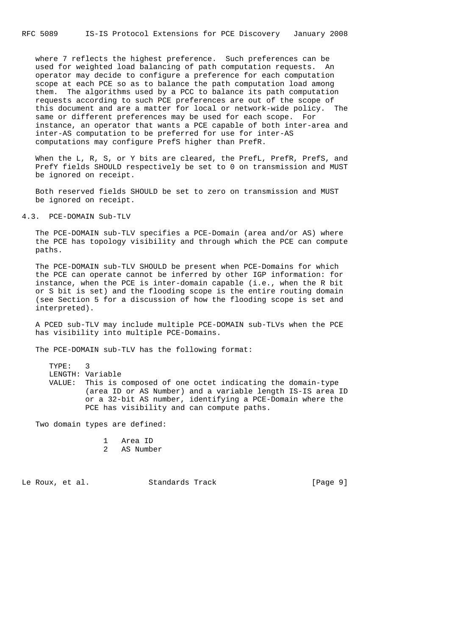where 7 reflects the highest preference. Such preferences can be used for weighted load balancing of path computation requests. An operator may decide to configure a preference for each computation scope at each PCE so as to balance the path computation load among them. The algorithms used by a PCC to balance its path computation requests according to such PCE preferences are out of the scope of this document and are a matter for local or network-wide policy. The same or different preferences may be used for each scope. For instance, an operator that wants a PCE capable of both inter-area and inter-AS computation to be preferred for use for inter-AS computations may configure PrefS higher than PrefR.

When the L, R, S, or Y bits are cleared, the PrefL, PrefR, PrefS, and PrefY fields SHOULD respectively be set to 0 on transmission and MUST be ignored on receipt.

 Both reserved fields SHOULD be set to zero on transmission and MUST be ignored on receipt.

## 4.3. PCE-DOMAIN Sub-TLV

 The PCE-DOMAIN sub-TLV specifies a PCE-Domain (area and/or AS) where the PCE has topology visibility and through which the PCE can compute paths.

 The PCE-DOMAIN sub-TLV SHOULD be present when PCE-Domains for which the PCE can operate cannot be inferred by other IGP information: for instance, when the PCE is inter-domain capable (i.e., when the R bit or S bit is set) and the flooding scope is the entire routing domain (see Section 5 for a discussion of how the flooding scope is set and interpreted).

 A PCED sub-TLV may include multiple PCE-DOMAIN sub-TLVs when the PCE has visibility into multiple PCE-Domains.

The PCE-DOMAIN sub-TLV has the following format:

 TYPE: 3 LENGTH: Variable VALUE: This is composed of one octet indicating the domain-type (area ID or AS Number) and a variable length IS-IS area ID or a 32-bit AS number, identifying a PCE-Domain where the PCE has visibility and can compute paths.

Two domain types are defined:

- 1 Area ID
- 2 AS Number

Le Roux, et al. Standards Track [Page 9]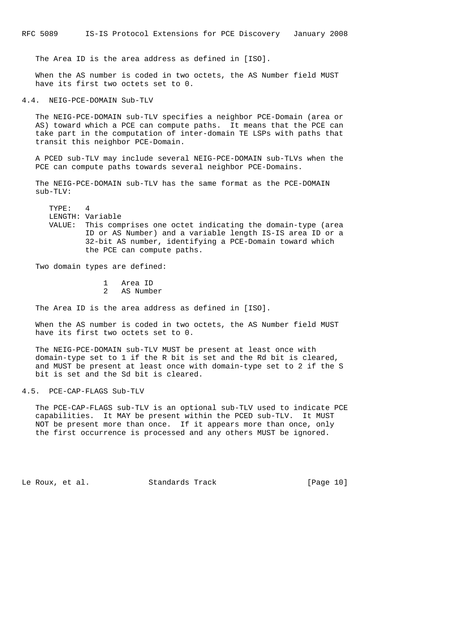The Area ID is the area address as defined in [ISO].

 When the AS number is coded in two octets, the AS Number field MUST have its first two octets set to 0.

4.4. NEIG-PCE-DOMAIN Sub-TLV

 The NEIG-PCE-DOMAIN sub-TLV specifies a neighbor PCE-Domain (area or AS) toward which a PCE can compute paths. It means that the PCE can take part in the computation of inter-domain TE LSPs with paths that transit this neighbor PCE-Domain.

 A PCED sub-TLV may include several NEIG-PCE-DOMAIN sub-TLVs when the PCE can compute paths towards several neighbor PCE-Domains.

 The NEIG-PCE-DOMAIN sub-TLV has the same format as the PCE-DOMAIN sub-TLV:

 TYPE: 4 LENGTH: Variable VALUE: This comprises one octet indicating the domain-type (area ID or AS Number) and a variable length IS-IS area ID or a 32-bit AS number, identifying a PCE-Domain toward which the PCE can compute paths.

Two domain types are defined:

 1 Area ID 2 AS Number

The Area ID is the area address as defined in [ISO].

 When the AS number is coded in two octets, the AS Number field MUST have its first two octets set to 0.

 The NEIG-PCE-DOMAIN sub-TLV MUST be present at least once with domain-type set to 1 if the R bit is set and the Rd bit is cleared, and MUST be present at least once with domain-type set to 2 if the S bit is set and the Sd bit is cleared.

4.5. PCE-CAP-FLAGS Sub-TLV

 The PCE-CAP-FLAGS sub-TLV is an optional sub-TLV used to indicate PCE capabilities. It MAY be present within the PCED sub-TLV. It MUST NOT be present more than once. If it appears more than once, only the first occurrence is processed and any others MUST be ignored.

Le Roux, et al. Standards Track [Page 10]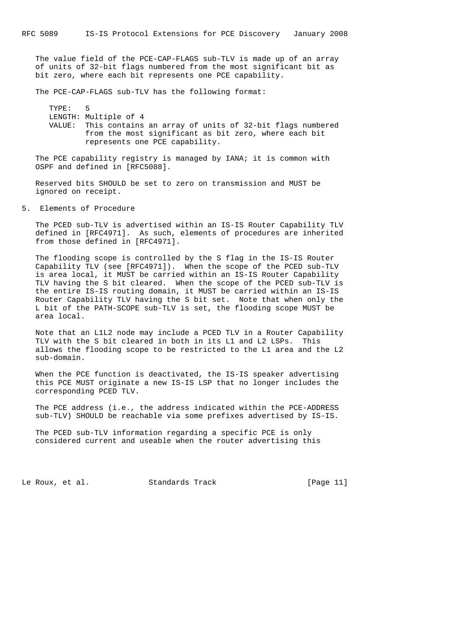The value field of the PCE-CAP-FLAGS sub-TLV is made up of an array of units of 32-bit flags numbered from the most significant bit as bit zero, where each bit represents one PCE capability.

The PCE-CAP-FLAGS sub-TLV has the following format:

 TYPE: 5 LENGTH: Multiple of 4 VALUE: This contains an array of units of 32-bit flags numbered from the most significant as bit zero, where each bit represents one PCE capability.

 The PCE capability registry is managed by IANA; it is common with OSPF and defined in [RFC5088].

 Reserved bits SHOULD be set to zero on transmission and MUST be ignored on receipt.

5. Elements of Procedure

 The PCED sub-TLV is advertised within an IS-IS Router Capability TLV defined in [RFC4971]. As such, elements of procedures are inherited from those defined in [RFC4971].

 The flooding scope is controlled by the S flag in the IS-IS Router Capability TLV (see [RFC4971]). When the scope of the PCED sub-TLV is area local, it MUST be carried within an IS-IS Router Capability TLV having the S bit cleared. When the scope of the PCED sub-TLV is the entire IS-IS routing domain, it MUST be carried within an IS-IS Router Capability TLV having the S bit set. Note that when only the L bit of the PATH-SCOPE sub-TLV is set, the flooding scope MUST be area local.

 Note that an L1L2 node may include a PCED TLV in a Router Capability TLV with the S bit cleared in both in its L1 and L2 LSPs. This allows the flooding scope to be restricted to the L1 area and the L2 sub-domain.

 When the PCE function is deactivated, the IS-IS speaker advertising this PCE MUST originate a new IS-IS LSP that no longer includes the corresponding PCED TLV.

 The PCE address (i.e., the address indicated within the PCE-ADDRESS sub-TLV) SHOULD be reachable via some prefixes advertised by IS-IS.

 The PCED sub-TLV information regarding a specific PCE is only considered current and useable when the router advertising this

Le Roux, et al. Standards Track [Page 11]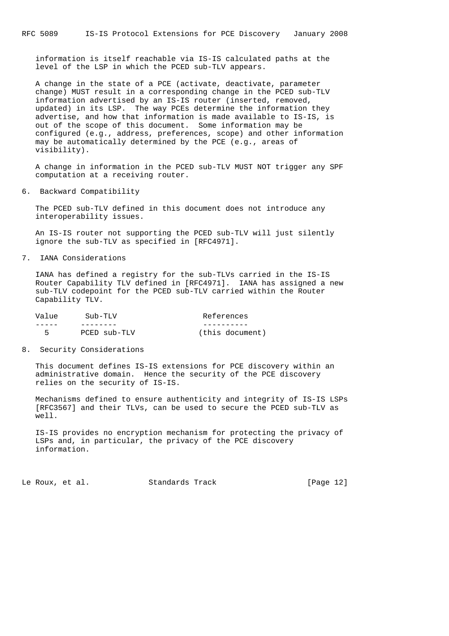information is itself reachable via IS-IS calculated paths at the level of the LSP in which the PCED sub-TLV appears.

 A change in the state of a PCE (activate, deactivate, parameter change) MUST result in a corresponding change in the PCED sub-TLV information advertised by an IS-IS router (inserted, removed, updated) in its LSP. The way PCEs determine the information they advertise, and how that information is made available to IS-IS, is out of the scope of this document. Some information may be configured (e.g., address, preferences, scope) and other information may be automatically determined by the PCE (e.g., areas of visibility).

 A change in information in the PCED sub-TLV MUST NOT trigger any SPF computation at a receiving router.

6. Backward Compatibility

 The PCED sub-TLV defined in this document does not introduce any interoperability issues.

 An IS-IS router not supporting the PCED sub-TLV will just silently ignore the sub-TLV as specified in [RFC4971].

7. IANA Considerations

 IANA has defined a registry for the sub-TLVs carried in the IS-IS Router Capability TLV defined in [RFC4971]. IANA has assigned a new sub-TLV codepoint for the PCED sub-TLV carried within the Router Capability TLV.

| Value | $S$ ub-TLV   | References      |
|-------|--------------|-----------------|
|       |              |                 |
| 5     | PCED sub-TLV | (this document) |

8. Security Considerations

 This document defines IS-IS extensions for PCE discovery within an administrative domain. Hence the security of the PCE discovery relies on the security of IS-IS.

 Mechanisms defined to ensure authenticity and integrity of IS-IS LSPs [RFC3567] and their TLVs, can be used to secure the PCED sub-TLV as well.

 IS-IS provides no encryption mechanism for protecting the privacy of LSPs and, in particular, the privacy of the PCE discovery information.

Le Roux, et al. Standards Track [Page 12]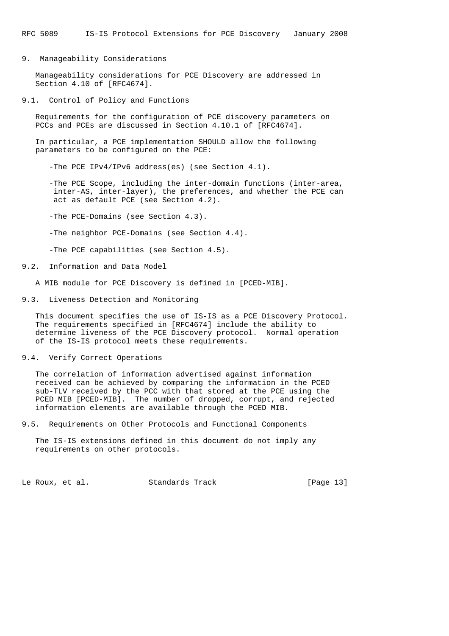9. Manageability Considerations

 Manageability considerations for PCE Discovery are addressed in Section 4.10 of [RFC4674].

9.1. Control of Policy and Functions

 Requirements for the configuration of PCE discovery parameters on PCCs and PCEs are discussed in Section 4.10.1 of [RFC4674].

 In particular, a PCE implementation SHOULD allow the following parameters to be configured on the PCE:

-The PCE IPv4/IPv6 address(es) (see Section 4.1).

 -The PCE Scope, including the inter-domain functions (inter-area, inter-AS, inter-layer), the preferences, and whether the PCE can act as default PCE (see Section 4.2).

-The PCE-Domains (see Section 4.3).

-The neighbor PCE-Domains (see Section 4.4).

-The PCE capabilities (see Section 4.5).

9.2. Information and Data Model

A MIB module for PCE Discovery is defined in [PCED-MIB].

9.3. Liveness Detection and Monitoring

 This document specifies the use of IS-IS as a PCE Discovery Protocol. The requirements specified in [RFC4674] include the ability to determine liveness of the PCE Discovery protocol. Normal operation of the IS-IS protocol meets these requirements.

#### 9.4. Verify Correct Operations

 The correlation of information advertised against information received can be achieved by comparing the information in the PCED sub-TLV received by the PCC with that stored at the PCE using the PCED MIB [PCED-MIB]. The number of dropped, corrupt, and rejected information elements are available through the PCED MIB.

9.5. Requirements on Other Protocols and Functional Components

 The IS-IS extensions defined in this document do not imply any requirements on other protocols.

Le Roux, et al. Standards Track [Page 13]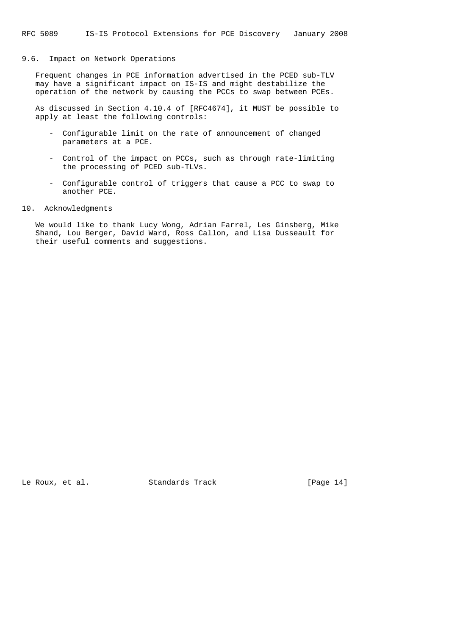## 9.6. Impact on Network Operations

 Frequent changes in PCE information advertised in the PCED sub-TLV may have a significant impact on IS-IS and might destabilize the operation of the network by causing the PCCs to swap between PCEs.

 As discussed in Section 4.10.4 of [RFC4674], it MUST be possible to apply at least the following controls:

- Configurable limit on the rate of announcement of changed parameters at a PCE.
- Control of the impact on PCCs, such as through rate-limiting the processing of PCED sub-TLVs.
- Configurable control of triggers that cause a PCC to swap to another PCE.
- 10. Acknowledgments

 We would like to thank Lucy Wong, Adrian Farrel, Les Ginsberg, Mike Shand, Lou Berger, David Ward, Ross Callon, and Lisa Dusseault for their useful comments and suggestions.

Le Roux, et al. Standards Track [Page 14]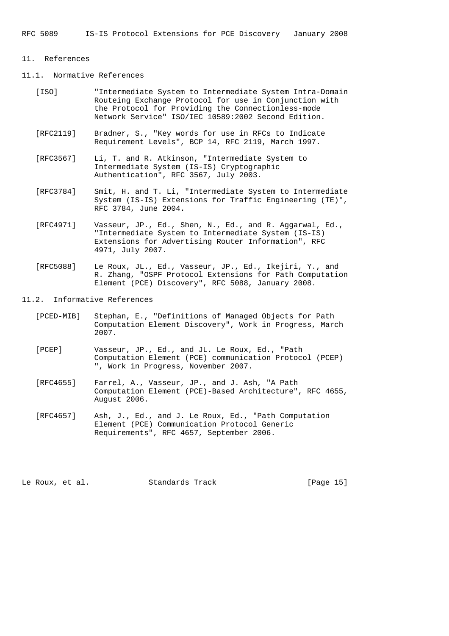#### 11. References

# 11.1. Normative References

- [ISO] "Intermediate System to Intermediate System Intra-Domain Routeing Exchange Protocol for use in Conjunction with the Protocol for Providing the Connectionless-mode Network Service" ISO/IEC 10589:2002 Second Edition.
- [RFC2119] Bradner, S., "Key words for use in RFCs to Indicate Requirement Levels", BCP 14, RFC 2119, March 1997.
- [RFC3567] Li, T. and R. Atkinson, "Intermediate System to Intermediate System (IS-IS) Cryptographic Authentication", RFC 3567, July 2003.
- [RFC3784] Smit, H. and T. Li, "Intermediate System to Intermediate System (IS-IS) Extensions for Traffic Engineering (TE)", RFC 3784, June 2004.
- [RFC4971] Vasseur, JP., Ed., Shen, N., Ed., and R. Aggarwal, Ed., "Intermediate System to Intermediate System (IS-IS) Extensions for Advertising Router Information", RFC 4971, July 2007.
- [RFC5088] Le Roux, JL., Ed., Vasseur, JP., Ed., Ikejiri, Y., and R. Zhang, "OSPF Protocol Extensions for Path Computation Element (PCE) Discovery", RFC 5088, January 2008.

# 11.2. Informative References

- [PCED-MIB] Stephan, E., "Definitions of Managed Objects for Path Computation Element Discovery", Work in Progress, March 2007.
- [PCEP] Vasseur, JP., Ed., and JL. Le Roux, Ed., "Path Computation Element (PCE) communication Protocol (PCEP) ", Work in Progress, November 2007.
- [RFC4655] Farrel, A., Vasseur, JP., and J. Ash, "A Path Computation Element (PCE)-Based Architecture", RFC 4655, August 2006.
- [RFC4657] Ash, J., Ed., and J. Le Roux, Ed., "Path Computation Element (PCE) Communication Protocol Generic Requirements", RFC 4657, September 2006.

Le Roux, et al. Standards Track [Page 15]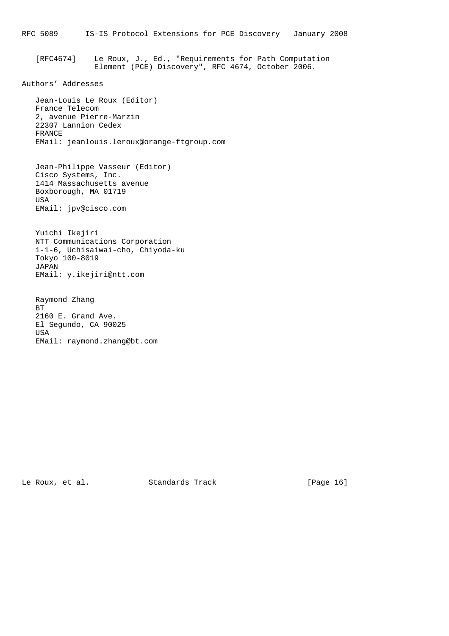[RFC4674] Le Roux, J., Ed., "Requirements for Path Computation Element (PCE) Discovery", RFC 4674, October 2006.

# Authors' Addresses

 Jean-Louis Le Roux (Editor) France Telecom 2, avenue Pierre-Marzin 22307 Lannion Cedex FRANCE EMail: jeanlouis.leroux@orange-ftgroup.com

 Jean-Philippe Vasseur (Editor) Cisco Systems, Inc. 1414 Massachusetts avenue Boxborough, MA 01719 USA EMail: jpv@cisco.com

 Yuichi Ikejiri NTT Communications Corporation 1-1-6, Uchisaiwai-cho, Chiyoda-ku Tokyo 100-8019 JAPAN EMail: y.ikejiri@ntt.com

 Raymond Zhang BT 2160 E. Grand Ave. El Segundo, CA 90025 USA EMail: raymond.zhang@bt.com

Le Roux, et al. Standards Track [Page 16]